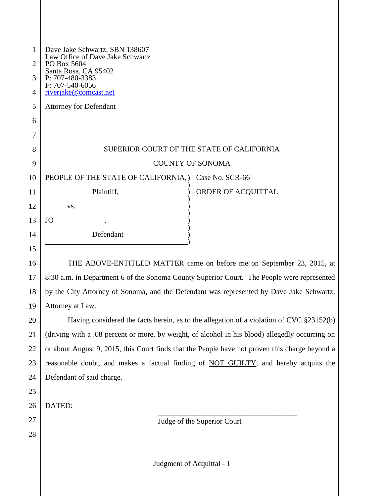| $\mathbf{1}$<br>$\overline{2}$<br>3<br>$\overline{4}$ | Dave Jake Schwartz, SBN 138607<br>Law Office of Dave Jake Schwartz<br>PO Box 5604<br>Santa Rosa, CA 95402<br>P: 707-480-3383<br>$F: 707 - 540 - 6056$<br>riverjake@comcast.net |
|-------------------------------------------------------|--------------------------------------------------------------------------------------------------------------------------------------------------------------------------------|
| 5                                                     | <b>Attorney for Defendant</b>                                                                                                                                                  |
| 6                                                     |                                                                                                                                                                                |
| 7                                                     |                                                                                                                                                                                |
| 8                                                     | SUPERIOR COURT OF THE STATE OF CALIFORNIA                                                                                                                                      |
| 9                                                     | <b>COUNTY OF SONOMA</b>                                                                                                                                                        |
| $\overline{0}$                                        | PEOPLE OF THE STATE OF CALIFORNIA,)<br>Case No. SCR-66                                                                                                                         |
| $\overline{1}$                                        | Plaintiff,<br>ORDER OF ACQUITTAL                                                                                                                                               |
| $\overline{2}$                                        | VS.                                                                                                                                                                            |
| 3                                                     | JO                                                                                                                                                                             |
| $\overline{A}$                                        | Defendant                                                                                                                                                                      |
| 5                                                     |                                                                                                                                                                                |
| $6 \frac{1}{2}$                                       | THE ABOVE-ENTITLED MATTER came on before me on September 23, 2015, at                                                                                                          |
| $\overline{7}$                                        | 8:30 a.m. in Department 6 of the Sonoma County Superior Court. The People were represented                                                                                     |
| 8 <sup>1</sup>                                        | by the City Attorney of Sonoma, and the Defendant was represented by Dave Jake Schwartz,                                                                                       |
| $\overline{9}$                                        | Attorney at Law.                                                                                                                                                               |
| $20\,$                                                | Having considered the facts herein, as to the allegation of a violation of CVC §23152(b)                                                                                       |
| $^{21}$                                               | (driving with a .08 percent or more, by weight, of alcohol in his blood) allegedly occurring on                                                                                |
| $^{22}$                                               | or about August 9, 2015, this Court finds that the People have not proven this charge beyond a                                                                                 |
| $^{23}$                                               | reasonable doubt, and makes a factual finding of NOT GUILTY, and hereby acquits the                                                                                            |

Defendant of said charge.

DATED:

Judgment of Acquittal - 1

Judge of the Superior Court

\_\_\_\_\_\_\_\_\_\_\_\_\_\_\_\_\_\_\_\_\_\_\_\_\_\_\_\_\_\_\_\_\_\_\_\_\_